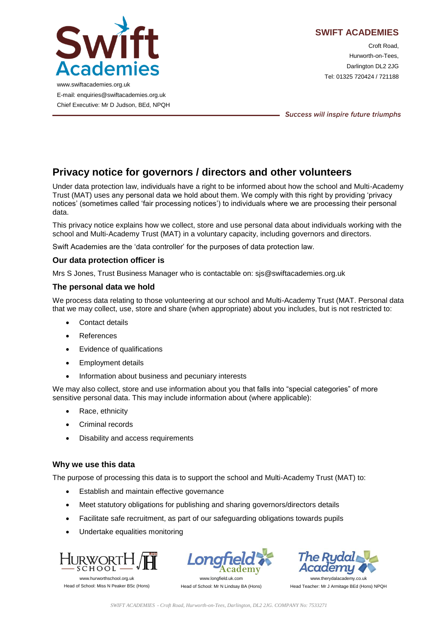

# **SWIFT ACADEMIES**

Croft Road, Hurworth-on-Tees, Darlington DL2 2JG Tel: 01325 720424 / 721188

www.swiftacademies.org.uk E-mail: enquiries@swiftacademies.org.uk Chief Executive: Mr D Judson, BEd, NPQH

Success will inspire future triumphs

# **Privacy notice for governors / directors and other volunteers**

Under data protection law, individuals have a right to be informed about how the school and Multi-Academy Trust (MAT) uses any personal data we hold about them. We comply with this right by providing 'privacy notices' (sometimes called 'fair processing notices') to individuals where we are processing their personal data.

This privacy notice explains how we collect, store and use personal data about individuals working with the school and Multi-Academy Trust (MAT) in a voluntary capacity, including governors and directors.

Swift Academies are the 'data controller' for the purposes of data protection law.

## **Our data protection officer is**

Mrs S Jones, Trust Business Manager who is contactable on: sjs@swiftacademies.org.uk

## **The personal data we hold**

We process data relating to those volunteering at our school and Multi-Academy Trust (MAT. Personal data that we may collect, use, store and share (when appropriate) about you includes, but is not restricted to:

- Contact details
- References
- Evidence of qualifications
- Employment details
- Information about business and pecuniary interests

We may also collect, store and use information about you that falls into "special categories" of more sensitive personal data. This may include information about (where applicable):

- Race, ethnicity
- Criminal records
- Disability and access requirements

## **Why we use this data**

The purpose of processing this data is to support the school and Multi-Academy Trust (MAT) to:

- **Establish and maintain effective governance**
- Meet statutory obligations for publishing and sharing governors/directors details
- Facilitate safe recruitment, as part of our safeguarding obligations towards pupils
- Undertake equalities monitoring



Head of School: Miss N Peaker BSc (Hons)



www.longfield.uk.com Head of School: Mr N Lindsay BA (Hons)

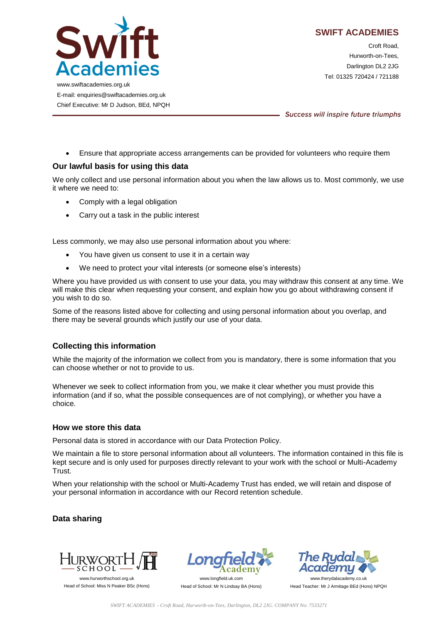

Croft Road, Hurworth-on-Tees, Darlington DL2 2JG Tel: 01325 720424 / 721188

www.swiftacademies.org.uk E-mail: enquiries@swiftacademies.org.uk Chief Executive: Mr D Judson, BEd, NPQH

Success will inspire future triumphs

Ensure that appropriate access arrangements can be provided for volunteers who require them

## **Our lawful basis for using this data**

We only collect and use personal information about you when the law allows us to. Most commonly, we use it where we need to:

- Comply with a legal obligation
- Carry out a task in the public interest

Less commonly, we may also use personal information about you where:

- You have given us consent to use it in a certain way
- We need to protect your vital interests (or someone else's interests)

Where you have provided us with consent to use your data, you may withdraw this consent at any time. We will make this clear when requesting your consent, and explain how you go about withdrawing consent if you wish to do so.

Some of the reasons listed above for collecting and using personal information about you overlap, and there may be several grounds which justify our use of your data.

## **Collecting this information**

While the majority of the information we collect from you is mandatory, there is some information that you can choose whether or not to provide to us.

Whenever we seek to collect information from you, we make it clear whether you must provide this information (and if so, what the possible consequences are of not complying), or whether you have a choice.

## **How we store this data**

Personal data is stored in accordance with our Data Protection Policy.

We maintain a file to store personal information about all volunteers. The information contained in this file is kept secure and is only used for purposes directly relevant to your work with the school or Multi-Academy Trust.

When your relationship with the school or Multi-Academy Trust has ended, we will retain and dispose of your personal information in accordance with our Record retention schedule.

## **Data sharing**



Head of School: Miss N Peaker BSc (Hons)



Head of School: Mr N Lindsay BA (Hons)

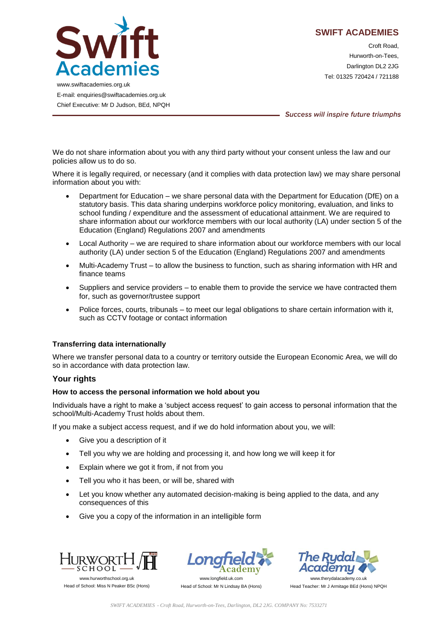

**SWIFT ACADEMIES**

Croft Road, Hurworth-on-Tees, Darlington DL2 2JG Tel: 01325 720424 / 721188

www.swiftacademies.org.uk E-mail: enquiries@swiftacademies.org.uk Chief Executive: Mr D Judson, BEd, NPQH

Success will inspire future triumphs

We do not share information about you with any third party without your consent unless the law and our policies allow us to do so.

Where it is legally required, or necessary (and it complies with data protection law) we may share personal information about you with:

- Department for Education we share personal data with the Department for Education (DfE) on a statutory basis. This data sharing underpins workforce policy monitoring, evaluation, and links to school funding / expenditure and the assessment of educational attainment. We are required to share information about our workforce members with our local authority (LA) under section 5 of the Education (England) Regulations 2007 and amendments
- Local Authority we are required to share information about our workforce members with our local authority (LA) under section 5 of the Education (England) Regulations 2007 and amendments
- Multi-Academy Trust to allow the business to function, such as sharing information with HR and finance teams
- Suppliers and service providers to enable them to provide the service we have contracted them for, such as governor/trustee support
- Police forces, courts, tribunals to meet our legal obligations to share certain information with it, such as CCTV footage or contact information

## **Transferring data internationally**

Where we transfer personal data to a country or territory outside the European Economic Area, we will do so in accordance with data protection law.

## **Your rights**

## **How to access the personal information we hold about you**

Individuals have a right to make a 'subject access request' to gain access to personal information that the school/Multi-Academy Trust holds about them.

If you make a subject access request, and if we do hold information about you, we will:

- Give you a description of it
- Tell you why we are holding and processing it, and how long we will keep it for
- Explain where we got it from, if not from you
- Tell you who it has been, or will be, shared with
- Let you know whether any automated decision-making is being applied to the data, and any consequences of this
- Give you a copy of the information in an intelligible form



Head of School: Miss N Peaker BSc (Hons)



Head of School: Mr N Lindsay BA (Hons)